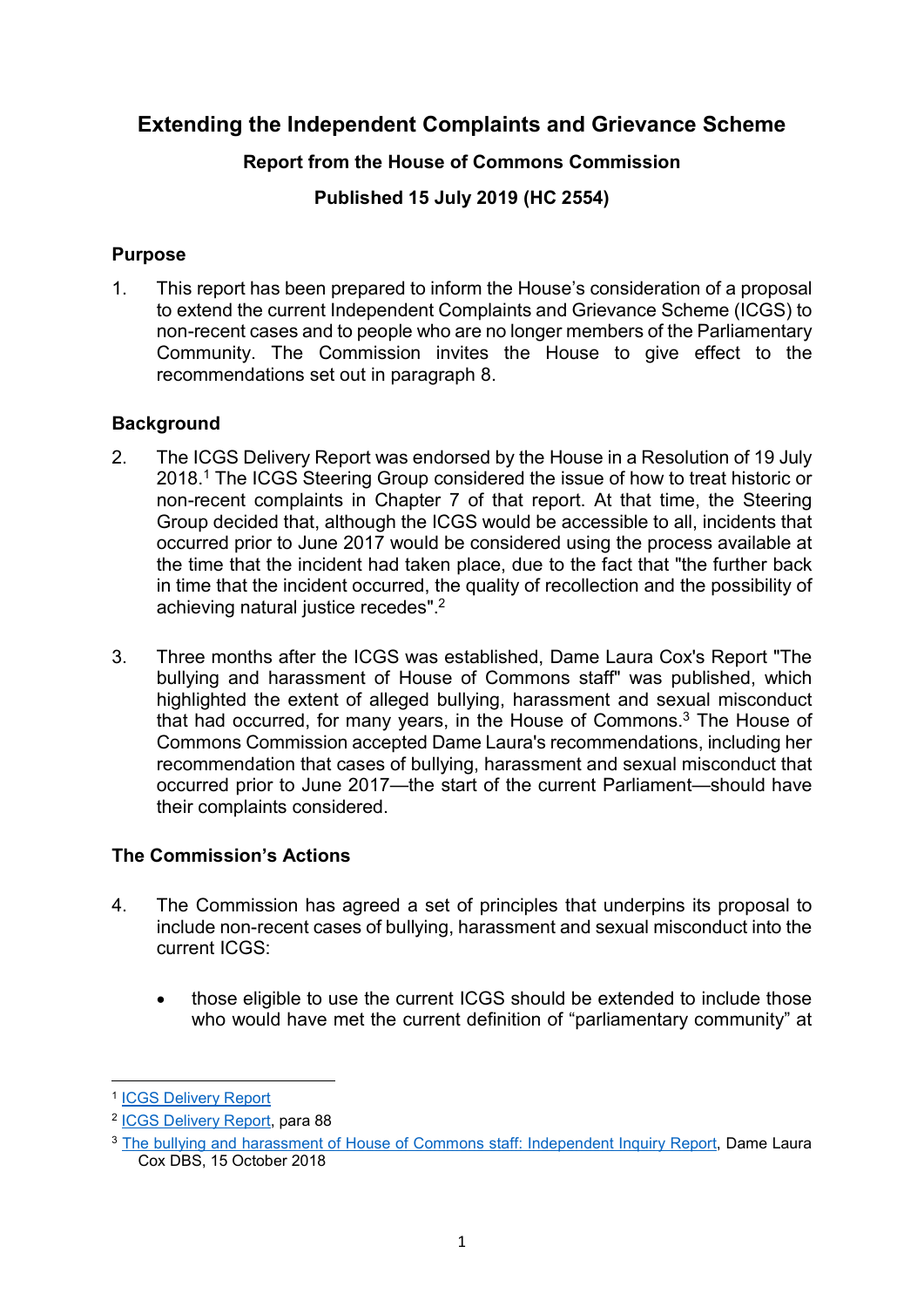# Extending the Independent Complaints and Grievance Scheme

### Report from the House of Commons Commission

Published 15 July 2019 (HC 2554)

### **Purpose**

1. This report has been prepared to inform the House's consideration of a proposal to extend the current Independent Complaints and Grievance Scheme (ICGS) to non-recent cases and to people who are no longer members of the Parliamentary Community. The Commission invites the House to give effect to the recommendations set out in paragraph 8.

## **Background**

- 2. The ICGS Delivery Report was endorsed by the House in a Resolution of 19 July 2018.<sup>1</sup> The ICGS Steering Group considered the issue of how to treat historic or non-recent complaints in Chapter 7 of that report. At that time, the Steering Group decided that, although the ICGS would be accessible to all, incidents that occurred prior to June 2017 would be considered using the process available at the time that the incident had taken place, due to the fact that "the further back in time that the incident occurred, the quality of recollection and the possibility of achieving natural justice recedes".<sup>2</sup>
- 3. Three months after the ICGS was established, Dame Laura Cox's Report "The bullying and harassment of House of Commons staff" was published, which highlighted the extent of alleged bullying, harassment and sexual misconduct that had occurred, for many years, in the House of Commons.<sup>3</sup> The House of Commons Commission accepted Dame Laura's recommendations, including her recommendation that cases of bullying, harassment and sexual misconduct that occurred prior to June 2017—the start of the current Parliament—should have their complaints considered.

## The Commission's Actions

- 4. The Commission has agreed a set of principles that underpins its proposal to include non-recent cases of bullying, harassment and sexual misconduct into the current ICGS:
	- those eligible to use the current ICGS should be extended to include those who would have met the current definition of "parliamentary community" at

-

<sup>1</sup> ICGS Delivery Report

<sup>2</sup> ICGS Delivery Report, para 88

<sup>&</sup>lt;sup>3</sup> The bullying and harassment of House of Commons staff: Independent Inquiry Report, Dame Laura Cox DBS, 15 October 2018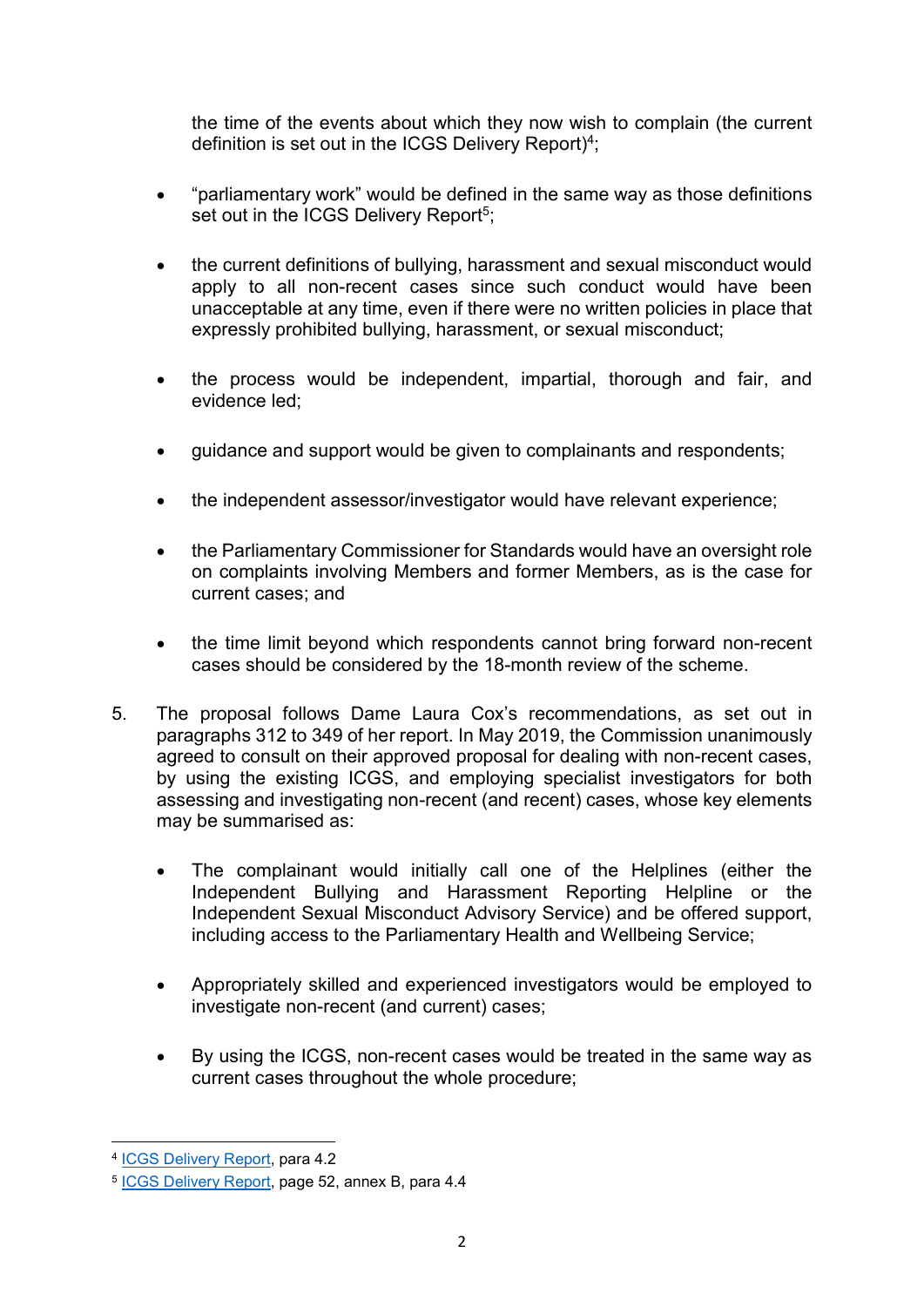the time of the events about which they now wish to complain (the current definition is set out in the ICGS Delivery Report)<sup>4</sup>;

- "parliamentary work" would be defined in the same way as those definitions set out in the ICGS Delivery Report<sup>5</sup>;
- the current definitions of bullying, harassment and sexual misconduct would apply to all non-recent cases since such conduct would have been unacceptable at any time, even if there were no written policies in place that expressly prohibited bullying, harassment, or sexual misconduct;
- the process would be independent, impartial, thorough and fair, and evidence led;
- guidance and support would be given to complainants and respondents;
- the independent assessor/investigator would have relevant experience;
- the Parliamentary Commissioner for Standards would have an oversight role on complaints involving Members and former Members, as is the case for current cases; and
- the time limit beyond which respondents cannot bring forward non-recent cases should be considered by the 18-month review of the scheme.
- 5. The proposal follows Dame Laura Cox's recommendations, as set out in paragraphs 312 to 349 of her report. In May 2019, the Commission unanimously agreed to consult on their approved proposal for dealing with non-recent cases. by using the existing ICGS, and employing specialist investigators for both assessing and investigating non-recent (and recent) cases, whose key elements may be summarised as:
	- The complainant would initially call one of the Helplines (either the Independent Bullying and Harassment Reporting Helpline or the Independent Sexual Misconduct Advisory Service) and be offered support, including access to the Parliamentary Health and Wellbeing Service;
	- Appropriately skilled and experienced investigators would be employed to investigate non-recent (and current) cases;
	- By using the ICGS, non-recent cases would be treated in the same way as current cases throughout the whole procedure;

-

<sup>4</sup> ICGS Delivery Report, para 4.2

<sup>&</sup>lt;sup>5</sup> ICGS Delivery Report, page 52, annex B, para 4.4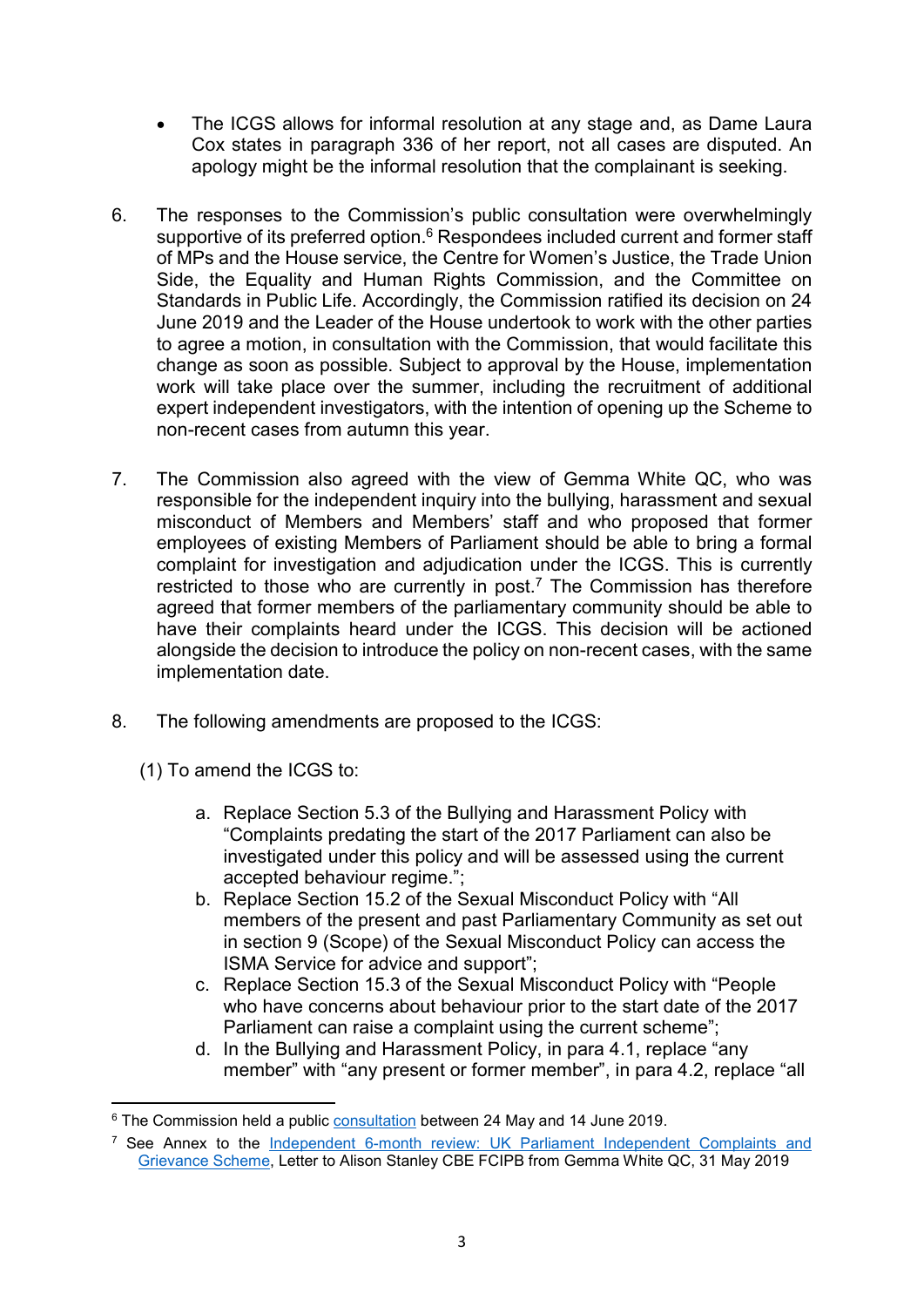- The ICGS allows for informal resolution at any stage and, as Dame Laura Cox states in paragraph 336 of her report, not all cases are disputed. An apology might be the informal resolution that the complainant is seeking.
- 6. The responses to the Commission's public consultation were overwhelmingly supportive of its preferred option.<sup>6</sup> Respondees included current and former staff of MPs and the House service, the Centre for Women's Justice, the Trade Union Side, the Equality and Human Rights Commission, and the Committee on Standards in Public Life. Accordingly, the Commission ratified its decision on 24 June 2019 and the Leader of the House undertook to work with the other parties to agree a motion, in consultation with the Commission, that would facilitate this change as soon as possible. Subject to approval by the House, implementation work will take place over the summer, including the recruitment of additional expert independent investigators, with the intention of opening up the Scheme to non-recent cases from autumn this year.
- 7. The Commission also agreed with the view of Gemma White QC, who was responsible for the independent inquiry into the bullying, harassment and sexual misconduct of Members and Members' staff and who proposed that former employees of existing Members of Parliament should be able to bring a formal complaint for investigation and adjudication under the ICGS. This is currently restricted to those who are currently in post.<sup>7</sup> The Commission has therefore agreed that former members of the parliamentary community should be able to have their complaints heard under the ICGS. This decision will be actioned alongside the decision to introduce the policy on non-recent cases, with the same implementation date.
- 8. The following amendments are proposed to the ICGS:
	- (1) To amend the ICGS to:
		- a. Replace Section 5.3 of the Bullying and Harassment Policy with "Complaints predating the start of the 2017 Parliament can also be investigated under this policy and will be assessed using the current accepted behaviour regime.";
		- b. Replace Section 15.2 of the Sexual Misconduct Policy with "All members of the present and past Parliamentary Community as set out in section 9 (Scope) of the Sexual Misconduct Policy can access the ISMA Service for advice and support";
		- c. Replace Section 15.3 of the Sexual Misconduct Policy with "People who have concerns about behaviour prior to the start date of the 2017 Parliament can raise a complaint using the current scheme";
		- d. In the Bullying and Harassment Policy, in para 4.1, replace "any member" with "any present or former member", in para 4.2, replace "all

<sup>-</sup><sup>6</sup> The Commission held a public consultation between 24 May and 14 June 2019.

<sup>&</sup>lt;sup>7</sup> See Annex to the Independent 6-month review: UK Parliament Independent Complaints and Grievance Scheme, Letter to Alison Stanley CBE FCIPB from Gemma White QC, 31 May 2019